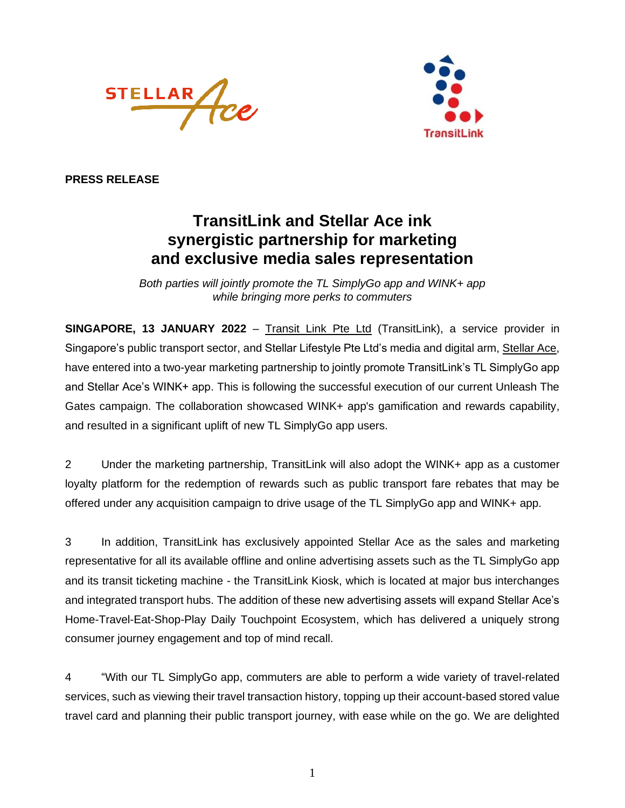



**PRESS RELEASE**

## **TransitLink and Stellar Ace ink synergistic partnership for marketing and exclusive media sales representation**

*Both parties will jointly promote the TL SimplyGo app and WINK+ app while bringing more perks to commuters*

**SINGAPORE, 13 JANUARY 2022** – [Transit Link Pte Ltd](http://www.transitlink.com.sg/) (TransitLink), a service provider in Singapore's public transport sector, and Stellar Lifestyle Pte Ltd's media and digital arm, [Stellar Ace,](https://www.stellarace.com.sg/) have entered into a two-year marketing partnership to jointly promote TransitLink's TL SimplyGo app and Stellar Ace's WINK+ app. This is following the successful execution of our current Unleash The Gates campaign. The collaboration showcased WINK+ app's gamification and rewards capability, and resulted in a significant uplift of new TL SimplyGo app users.

2 Under the marketing partnership, TransitLink will also adopt the WINK+ app as a customer loyalty platform for the redemption of rewards such as public transport fare rebates that may be offered under any acquisition campaign to drive usage of the TL SimplyGo app and WINK+ app.

3 In addition, TransitLink has exclusively appointed Stellar Ace as the sales and marketing representative for all its available offline and online advertising assets such as the TL SimplyGo app and its transit ticketing machine - the TransitLink Kiosk, which is located at major bus interchanges and integrated transport hubs. The addition of these new advertising assets will expand Stellar Ace's Home-Travel-Eat-Shop-Play Daily Touchpoint Ecosystem, which has delivered a uniquely strong consumer journey engagement and top of mind recall.

4 "With our TL SimplyGo app, commuters are able to perform a wide variety of travel-related services, such as viewing their travel transaction history, topping up their account-based stored value travel card and planning their public transport journey, with ease while on the go. We are delighted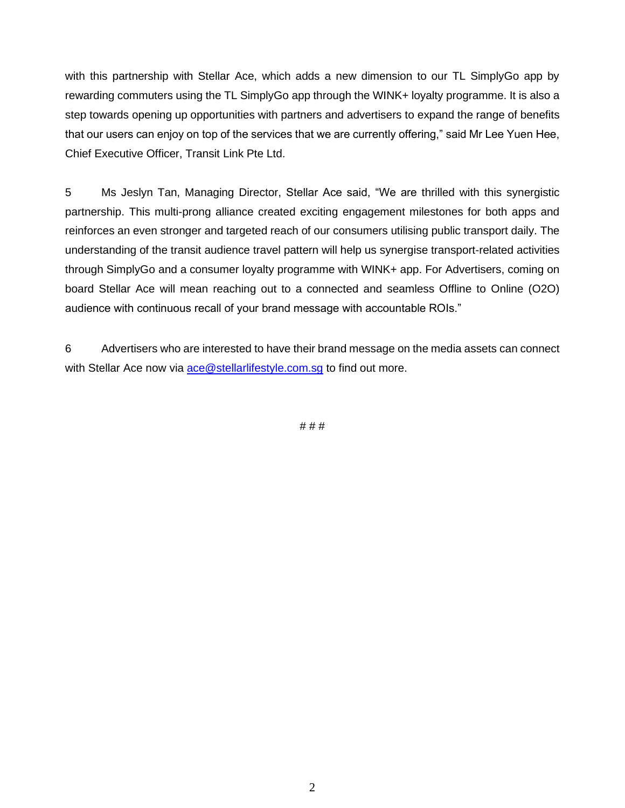with this partnership with Stellar Ace, which adds a new dimension to our TL SimplyGo app by rewarding commuters using the TL SimplyGo app through the WINK+ loyalty programme. It is also a step towards opening up opportunities with partners and advertisers to expand the range of benefits that our users can enjoy on top of the services that we are currently offering," said Mr Lee Yuen Hee, Chief Executive Officer, Transit Link Pte Ltd.

5 Ms Jeslyn Tan, Managing Director, Stellar Ace said, "We are thrilled with this synergistic partnership. This multi-prong alliance created exciting engagement milestones for both apps and reinforces an even stronger and targeted reach of our consumers utilising public transport daily. The understanding of the transit audience travel pattern will help us synergise transport-related activities through SimplyGo and a consumer loyalty programme with WINK+ app. For Advertisers, coming on board Stellar Ace will mean reaching out to a connected and seamless Offline to Online (O2O) audience with continuous recall of your brand message with accountable ROIs."

6 Advertisers who are interested to have their brand message on the media assets can connect with Stellar Ace now via [ace@stellarlifestyle.com.sg](mailto:ace@stellarlifestyle.com.sg) to find out more.

# # #